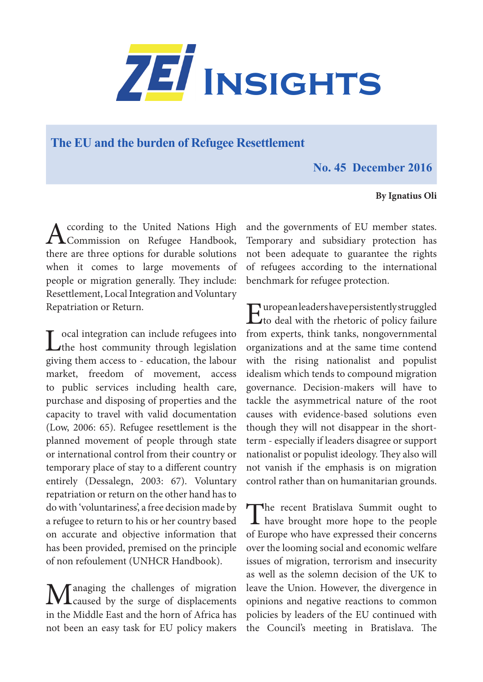

## **The EU and the burden of Refugee Resettlement**

## **No. 45 December 2016**

## **By Ignatius Oli**

According to the United Nations High<br>Commission on Refugee Handbook, there are three options for durable solutions when it comes to large movements of people or migration generally. They include: Resettlement, Local Integration and Voluntary Repatriation or Return.

Local integration can include refugees into<br>the host community through legislation giving them access to - education, the labour market, freedom of movement, access to public services including health care, purchase and disposing of properties and the capacity to travel with valid documentation (Low, 2006: 65). Refugee resettlement is the planned movement of people through state or international control from their country or temporary place of stay to a different country entirely (Dessalegn, 2003: 67). Voluntary repatriation or return on the other hand has to do with 'voluntariness', a free decision made by a refugee to return to his or her country based on accurate and objective information that has been provided, premised on the principle of non refoulement (UNHCR Handbook).

Managing the challenges of migration<br>
caused by the surge of displacements in the Middle East and the horn of Africa has not been an easy task for EU policy makers

and the governments of EU member states. Temporary and subsidiary protection has not been adequate to guarantee the rights of refugees according to the international benchmark for refugee protection.

European leaders have persistently struggled<br>to deal with the rhetoric of policy failure from experts, think tanks, nongovernmental organizations and at the same time contend with the rising nationalist and populist idealism which tends to compound migration governance. Decision-makers will have to tackle the asymmetrical nature of the root causes with evidence-based solutions even though they will not disappear in the shortterm - especially if leaders disagree or support nationalist or populist ideology. They also will not vanish if the emphasis is on migration control rather than on humanitarian grounds.

The recent Bratislava Summit ought to **1** have brought more hope to the people of Europe who have expressed their concerns over the looming social and economic welfare issues of migration, terrorism and insecurity as well as the solemn decision of the UK to leave the Union. However, the divergence in opinions and negative reactions to common policies by leaders of the EU continued with the Council's meeting in Bratislava. The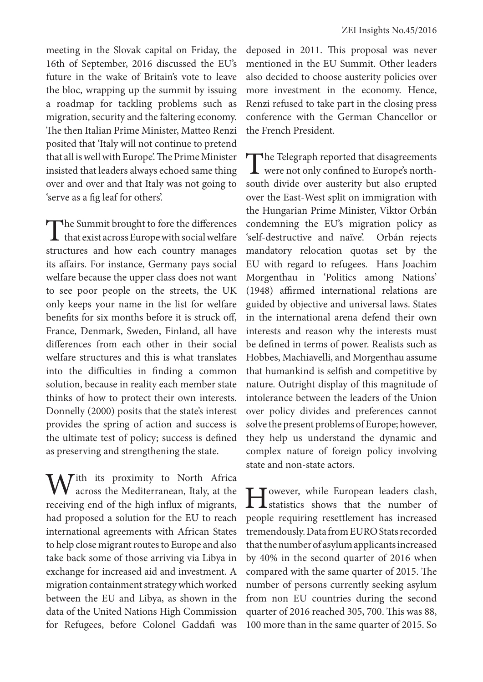meeting in the Slovak capital on Friday, the 16th of September, 2016 discussed the EU's future in the wake of Britain's vote to leave the bloc, wrapping up the summit by issuing a roadmap for tackling problems such as migration, security and the faltering economy. The then Italian Prime Minister, Matteo Renzi posited that 'Italy will not continue to pretend that all is well with Europe'. The Prime Minister insisted that leaders always echoed same thing over and over and that Italy was not going to 'serve as a fig leaf for others'.

The Summit brought to fore the differences  $\perp$  that exist across Europe with social welfare structures and how each country manages its affairs. For instance, Germany pays social welfare because the upper class does not want to see poor people on the streets, the UK only keeps your name in the list for welfare benefits for six months before it is struck off, France, Denmark, Sweden, Finland, all have differences from each other in their social welfare structures and this is what translates into the difficulties in finding a common solution, because in reality each member state thinks of how to protect their own interests. Donnelly (2000) posits that the state's interest provides the spring of action and success is the ultimate test of policy; success is defined as preserving and strengthening the state.

 $\overline{f}$ ith its proximity to North Africa across the Mediterranean, Italy, at the receiving end of the high influx of migrants, had proposed a solution for the EU to reach international agreements with African States to help close migrant routes to Europe and also take back some of those arriving via Libya in exchange for increased aid and investment. A migration containment strategy which worked between the EU and Libya, as shown in the data of the United Nations High Commission for Refugees, before Colonel Gaddafi was deposed in 2011. This proposal was never mentioned in the EU Summit. Other leaders also decided to choose austerity policies over more investment in the economy. Hence, Renzi refused to take part in the closing press conference with the German Chancellor or the French President.

The Telegraph reported that disagreements **L** were not only confined to Europe's northsouth divide over austerity but also erupted over the East-West split on immigration with the Hungarian Prime Minister, Viktor Orbán condemning the EU's migration policy as 'self-destructive and naïve'. Orbán rejects mandatory relocation quotas set by the EU with regard to refugees. Hans Joachim Morgenthau in 'Politics among Nations' (1948) affirmed international relations are guided by objective and universal laws. States in the international arena defend their own interests and reason why the interests must be defined in terms of power. Realists such as Hobbes, Machiavelli, and Morgenthau assume that humankind is selfish and competitive by nature. Outright display of this magnitude of intolerance between the leaders of the Union over policy divides and preferences cannot solve the present problems of Europe; however, they help us understand the dynamic and complex nature of foreign policy involving state and non-state actors.

However, while European leaders clash,<br>
statistics shows that the number of people requiring resettlement has increased tremendously. Data from EURO Stats recorded that the number of asylum applicants increased by 40% in the second quarter of 2016 when compared with the same quarter of 2015. The number of persons currently seeking asylum from non EU countries during the second quarter of 2016 reached 305, 700. This was 88, 100 more than in the same quarter of 2015. So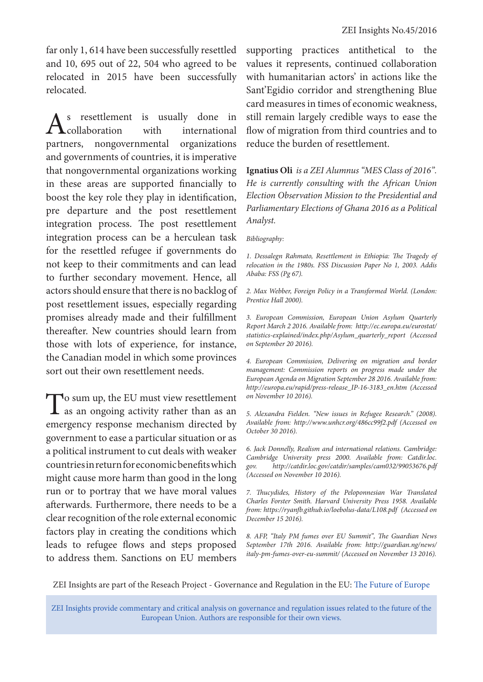far only 1, 614 have been successfully resettled and 10, 695 out of 22, 504 who agreed to be relocated in 2015 have been successfully relocated.

s resettlement is usually done in<br>
collaboration with international<br>
ners, nongovernmental organizations international partners, nongovernmental and governments of countries, it is imperative that nongovernmental organizations working in these areas are supported financially to boost the key role they play in identification, pre departure and the post resettlement integration process. The post resettlement integration process can be a herculean task for the resettled refugee if governments do not keep to their commitments and can lead to further secondary movement. Hence, all actors should ensure that there is no backlog of post resettlement issues, especially regarding promises already made and their fulfillment thereafter. New countries should learn from those with lots of experience, for instance, the Canadian model in which some provinces sort out their own resettlement needs.

To sum up, the EU must view resettlement<br>as an ongoing activity rather than as an emergency response mechanism directed by government to ease a particular situation or as a political instrument to cut deals with weaker countries in return for economic benefits which might cause more harm than good in the long run or to portray that we have moral values afterwards. Furthermore, there needs to be a clear recognition of the role external economic factors play in creating the conditions which leads to refugee flows and steps proposed to address them. Sanctions on EU members

supporting practices antithetical to the values it represents, continued collaboration with humanitarian actors' in actions like the Sant'Egidio corridor and strengthening Blue card measures in times of economic weakness, still remain largely credible ways to ease the flow of migration from third countries and to reduce the burden of resettlement.

**Ignatius Oli** *is a ZEI Alumnus "MES Class of 2016". He is currently consulting with the African Union Election Observation Mission to the Presidential and Parliamentary Elections of Ghana 2016 as a Political Analyst.*

*Bibliography:*

*1. Dessalegn Rahmato, Resettlement in Ethiopia: The Tragedy of relocation in the 1980s. FSS Discussion Paper No 1, 2003. Addis Ababa: FSS (Pg 67).*

*2. Max Webber, Foreign Policy in a Transformed World. (London: Prentice Hall 2000).*

*3. European Commission, European Union Asylum Quarterly Report March 2 2016. Available from: http://ec.europa.eu/eurostat/ statistics-explained/index.php/Asylum\_quarterly\_report (Accessed on September 20 2016).* 

*4. European Commission, Delivering on migration and border management: Commission reports on progress made under the European Agenda on Migration September 28 2016. Available from: http://europa.eu/rapid/press-release\_IP-16-3183\_en.htm (Accessed on November 10 2016).*

*5. Alexandra Fielden. "New issues in Refugee Research." (2008). Available from: http://www.unhcr.org/486cc99f2.pdf (Accessed on October 30 2016).* 

*6. Jack Donnelly, Realism and international relations. Cambridge: Cambridge University press 2000. Available from: Catdir.loc. gov. http://catdir.loc.gov/catdir/samples/cam032/99053676.pdf (Accessed on November 10 2016).*

*7. Thucydides, History of the Peloponnesian War Translated Charles Forster Smith. Harvard University Press 1958. Available from: https://ryanfb.github.io/loebolus-data/L108.pdf (Accessed on December 15 2016).*

*8. AFP, "Italy PM fumes over EU Summit", The Guardian News September 17th 2016. Available from: http://guardian.ng/news/ italy-pm-fumes-over-eu-summit/ (Accessed on November 13 2016).*

ZEI Insights are part of the Reseach Project - Governance and Regulation in the EU: The Future of Europe

ZEI Insights provide commentary and critical analysis on governance and regulation issues related to the future of the European Union. Authors are responsible for their own views.